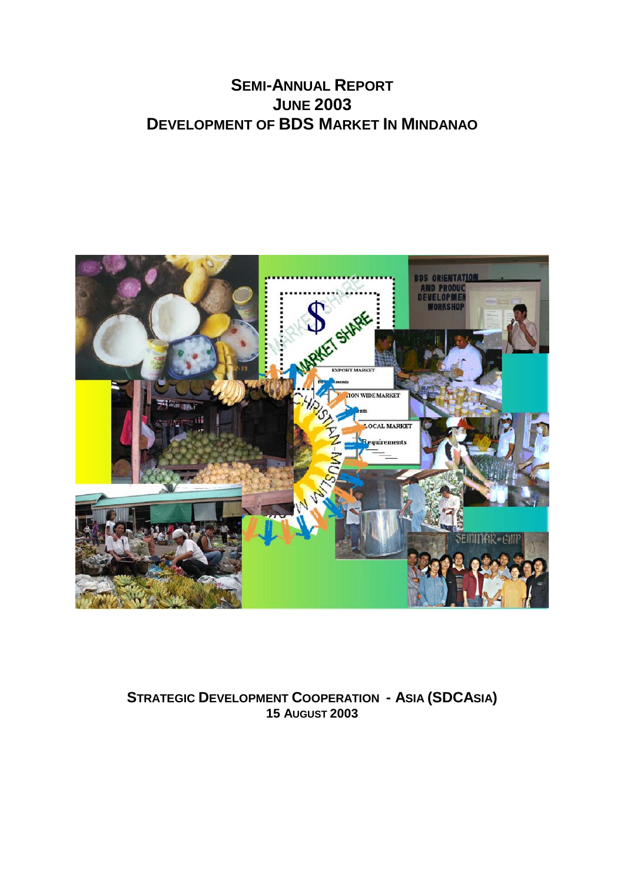# **SEMI-ANNUAL REPORT JUNE 2003 DEVELOPMENT OF BDS MARKET IN MINDANAO**



## **STRATEGIC DEVELOPMENT COOPERATION - ASIA (SDCASIA) 15 AUGUST 2003**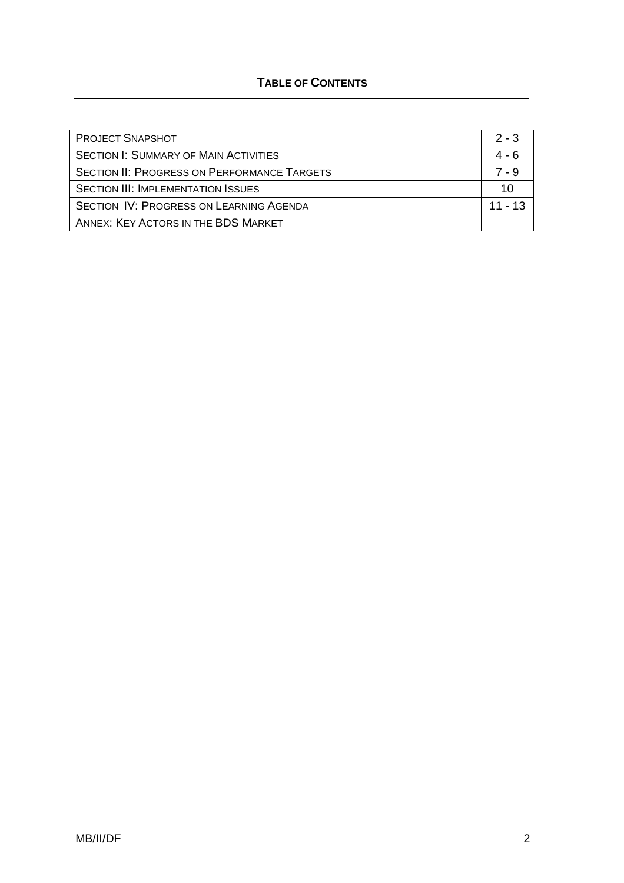## **TABLE OF CONTENTS**

| <b>PROJECT SNAPSHOT</b>                            | $2 - 3$   |
|----------------------------------------------------|-----------|
| <b>SECTION I: SUMMARY OF MAIN ACTIVITIES</b>       | 4 - 6     |
| <b>SECTION II: PROGRESS ON PERFORMANCE TARGETS</b> | 7 - 9     |
| <b>SECTION III: IMPLEMENTATION ISSUES</b>          | 10        |
| SECTION IV: PROGRESS ON LEARNING AGENDA            | $11 - 13$ |
| ANNEX: KEY ACTORS IN THE BDS MARKET                |           |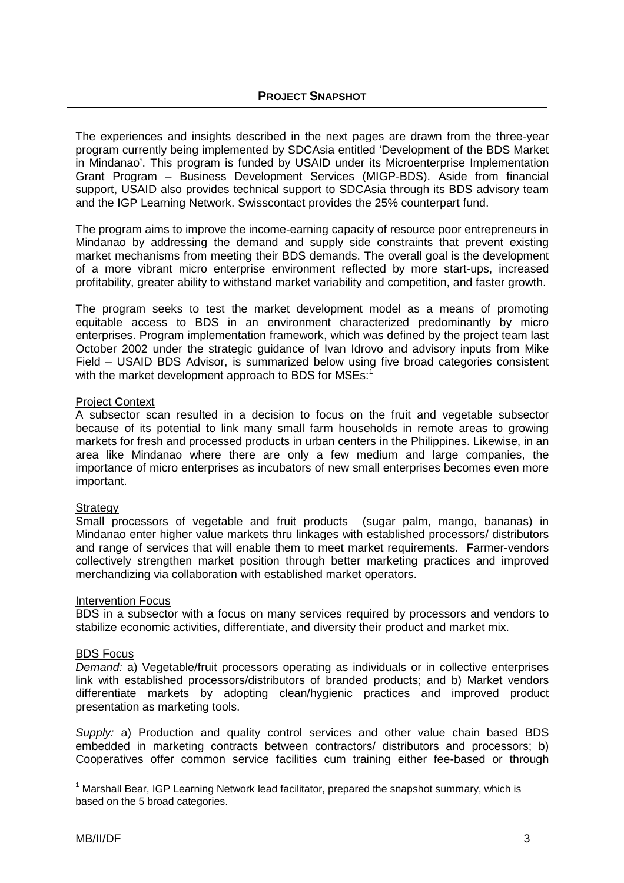The experiences and insights described in the next pages are drawn from the three-year program currently being implemented by SDCAsia entitled 'Development of the BDS Market in Mindanao'. This program is funded by USAID under its Microenterprise Implementation Grant Program – Business Development Services (MIGP-BDS). Aside from financial support, USAID also provides technical support to SDCAsia through its BDS advisory team and the IGP Learning Network. Swisscontact provides the 25% counterpart fund.

The program aims to improve the income-earning capacity of resource poor entrepreneurs in Mindanao by addressing the demand and supply side constraints that prevent existing market mechanisms from meeting their BDS demands. The overall goal is the development of a more vibrant micro enterprise environment reflected by more start-ups, increased profitability, greater ability to withstand market variability and competition, and faster growth.

The program seeks to test the market development model as a means of promoting equitable access to BDS in an environment characterized predominantly by micro enterprises. Program implementation framework, which was defined by the project team last October 2002 under the strategic guidance of Ivan Idrovo and advisory inputs from Mike Field – USAID BDS Advisor, is summarized below using five broad categories consistent with the market development approach to BDS for MSEs: $^1$  $^1$ 

#### Project Context

A subsector scan resulted in a decision to focus on the fruit and vegetable subsector because of its potential to link many small farm households in remote areas to growing markets for fresh and processed products in urban centers in the Philippines. Likewise, in an area like Mindanao where there are only a few medium and large companies, the importance of micro enterprises as incubators of new small enterprises becomes even more important.

#### **Strategy**

Small processors of vegetable and fruit products (sugar palm, mango, bananas) in Mindanao enter higher value markets thru linkages with established processors/ distributors and range of services that will enable them to meet market requirements. Farmer-vendors collectively strengthen market position through better marketing practices and improved merchandizing via collaboration with established market operators.

#### Intervention Focus

BDS in a subsector with a focus on many services required by processors and vendors to stabilize economic activities, differentiate, and diversity their product and market mix.

#### BDS Focus

*Demand:* a) Vegetable/fruit processors operating as individuals or in collective enterprises link with established processors/distributors of branded products; and b) Market vendors differentiate markets by adopting clean/hygienic practices and improved product presentation as marketing tools.

*Supply:* a) Production and quality control services and other value chain based BDS embedded in marketing contracts between contractors/ distributors and processors; b) Cooperatives offer common service facilities cum training either fee-based or through

<span id="page-2-0"></span>  $<sup>1</sup>$  Marshall Bear, IGP Learning Network lead facilitator, prepared the snapshot summary, which is</sup> based on the 5 broad categories.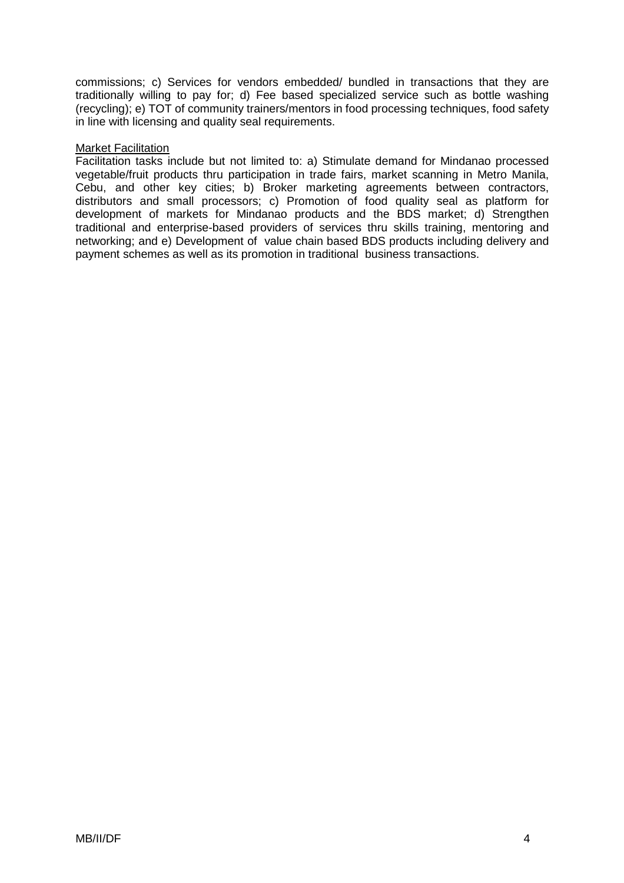commissions; c) Services for vendors embedded/ bundled in transactions that they are traditionally willing to pay for; d) Fee based specialized service such as bottle washing (recycling); e) TOT of community trainers/mentors in food processing techniques, food safety in line with licensing and quality seal requirements.

#### Market Facilitation

Facilitation tasks include but not limited to: a) Stimulate demand for Mindanao processed vegetable/fruit products thru participation in trade fairs, market scanning in Metro Manila, Cebu, and other key cities; b) Broker marketing agreements between contractors, distributors and small processors; c) Promotion of food quality seal as platform for development of markets for Mindanao products and the BDS market; d) Strengthen traditional and enterprise-based providers of services thru skills training, mentoring and networking; and e) Development of value chain based BDS products including delivery and payment schemes as well as its promotion in traditional business transactions.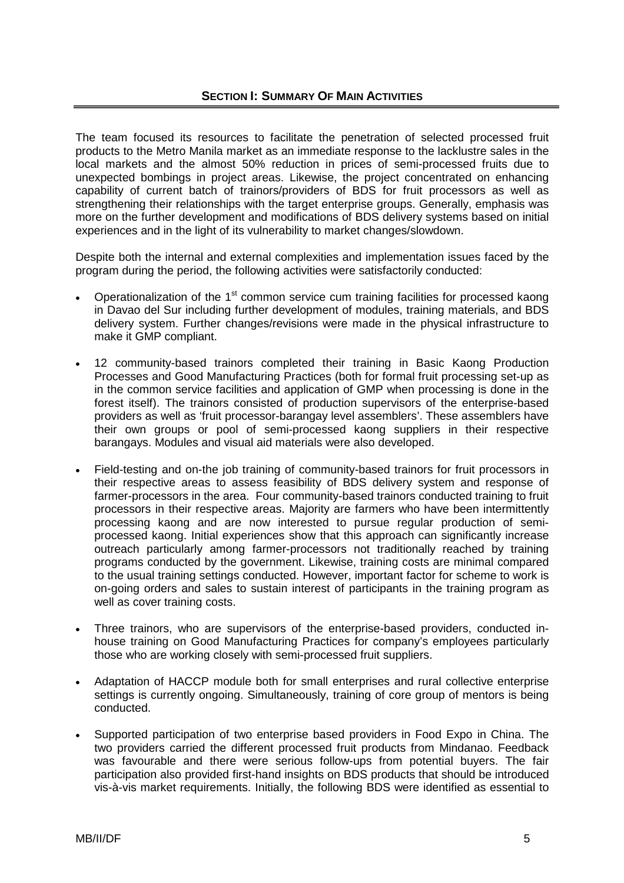The team focused its resources to facilitate the penetration of selected processed fruit products to the Metro Manila market as an immediate response to the lacklustre sales in the local markets and the almost 50% reduction in prices of semi-processed fruits due to unexpected bombings in project areas. Likewise, the project concentrated on enhancing capability of current batch of trainors/providers of BDS for fruit processors as well as strengthening their relationships with the target enterprise groups. Generally, emphasis was more on the further development and modifications of BDS delivery systems based on initial experiences and in the light of its vulnerability to market changes/slowdown.

Despite both the internal and external complexities and implementation issues faced by the program during the period, the following activities were satisfactorily conducted:

- Operationalization of the 1<sup>st</sup> common service cum training facilities for processed kaong in Davao del Sur including further development of modules, training materials, and BDS delivery system. Further changes/revisions were made in the physical infrastructure to make it GMP compliant.
- 12 community-based trainors completed their training in Basic Kaong Production Processes and Good Manufacturing Practices (both for formal fruit processing set-up as in the common service facilities and application of GMP when processing is done in the forest itself). The trainors consisted of production supervisors of the enterprise-based providers as well as 'fruit processor-barangay level assemblers'. These assemblers have their own groups or pool of semi-processed kaong suppliers in their respective barangays. Modules and visual aid materials were also developed.
- Field-testing and on-the job training of community-based trainors for fruit processors in their respective areas to assess feasibility of BDS delivery system and response of farmer-processors in the area. Four community-based trainors conducted training to fruit processors in their respective areas. Majority are farmers who have been intermittently processing kaong and are now interested to pursue regular production of semiprocessed kaong. Initial experiences show that this approach can significantly increase outreach particularly among farmer-processors not traditionally reached by training programs conducted by the government. Likewise, training costs are minimal compared to the usual training settings conducted. However, important factor for scheme to work is on-going orders and sales to sustain interest of participants in the training program as well as cover training costs.
- Three trainors, who are supervisors of the enterprise-based providers, conducted inhouse training on Good Manufacturing Practices for company's employees particularly those who are working closely with semi-processed fruit suppliers.
- Adaptation of HACCP module both for small enterprises and rural collective enterprise settings is currently ongoing. Simultaneously, training of core group of mentors is being conducted.
- Supported participation of two enterprise based providers in Food Expo in China. The two providers carried the different processed fruit products from Mindanao. Feedback was favourable and there were serious follow-ups from potential buyers. The fair participation also provided first-hand insights on BDS products that should be introduced vis-à-vis market requirements. Initially, the following BDS were identified as essential to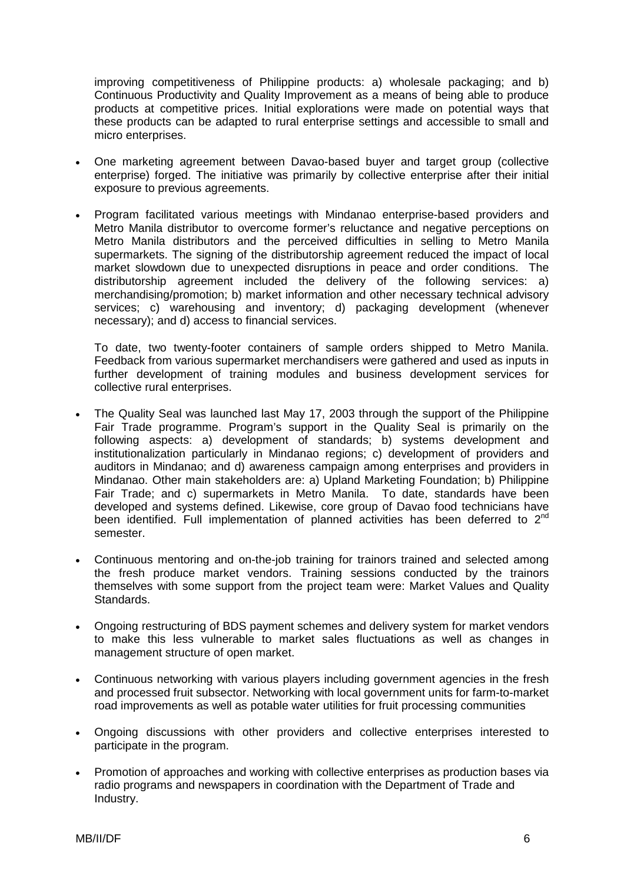improving competitiveness of Philippine products: a) wholesale packaging; and b) Continuous Productivity and Quality Improvement as a means of being able to produce products at competitive prices. Initial explorations were made on potential ways that these products can be adapted to rural enterprise settings and accessible to small and micro enterprises.

- One marketing agreement between Davao-based buyer and target group (collective enterprise) forged. The initiative was primarily by collective enterprise after their initial exposure to previous agreements.
- Program facilitated various meetings with Mindanao enterprise-based providers and Metro Manila distributor to overcome former's reluctance and negative perceptions on Metro Manila distributors and the perceived difficulties in selling to Metro Manila supermarkets. The signing of the distributorship agreement reduced the impact of local market slowdown due to unexpected disruptions in peace and order conditions. The distributorship agreement included the delivery of the following services: a) merchandising/promotion; b) market information and other necessary technical advisory services; c) warehousing and inventory; d) packaging development (whenever necessary); and d) access to financial services.

To date, two twenty-footer containers of sample orders shipped to Metro Manila. Feedback from various supermarket merchandisers were gathered and used as inputs in further development of training modules and business development services for collective rural enterprises.

- The Quality Seal was launched last May 17, 2003 through the support of the Philippine Fair Trade programme. Program's support in the Quality Seal is primarily on the following aspects: a) development of standards; b) systems development and institutionalization particularly in Mindanao regions; c) development of providers and auditors in Mindanao; and d) awareness campaign among enterprises and providers in Mindanao. Other main stakeholders are: a) Upland Marketing Foundation; b) Philippine Fair Trade; and c) supermarkets in Metro Manila. To date, standards have been developed and systems defined. Likewise, core group of Davao food technicians have been identified. Full implementation of planned activities has been deferred to 2<sup>nd</sup> semester.
- Continuous mentoring and on-the-job training for trainors trained and selected among the fresh produce market vendors. Training sessions conducted by the trainors themselves with some support from the project team were: Market Values and Quality Standards.
- Ongoing restructuring of BDS payment schemes and delivery system for market vendors to make this less vulnerable to market sales fluctuations as well as changes in management structure of open market.
- Continuous networking with various players including government agencies in the fresh and processed fruit subsector. Networking with local government units for farm-to-market road improvements as well as potable water utilities for fruit processing communities
- Ongoing discussions with other providers and collective enterprises interested to participate in the program.
- Promotion of approaches and working with collective enterprises as production bases via radio programs and newspapers in coordination with the Department of Trade and Industry.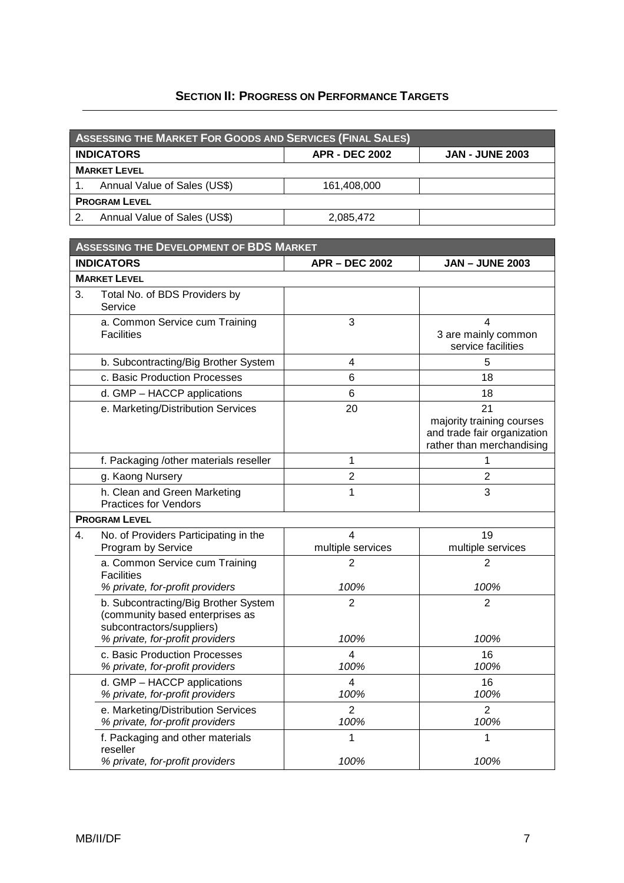### **SECTION II: PROGRESS ON PERFORMANCE TARGETS**

| <b>ASSESSING THE MARKET FOR GOODS AND SERVICES (FINAL SALES)</b> |                              |                       |                        |
|------------------------------------------------------------------|------------------------------|-----------------------|------------------------|
| <b>INDICATORS</b>                                                |                              | <b>APR - DEC 2002</b> | <b>JAN - JUNE 2003</b> |
| <b>MARKET LEVEL</b>                                              |                              |                       |                        |
|                                                                  | Annual Value of Sales (US\$) | 161,408,000           |                        |
| <b>PROGRAM LEVEL</b>                                             |                              |                       |                        |
| 2.                                                               | Annual Value of Sales (US\$) | 2,085,472             |                        |

| <b>ASSESSING THE DEVELOPMENT OF BDS MARKET</b> |                                                                                                                                         |                        |                                                                                             |
|------------------------------------------------|-----------------------------------------------------------------------------------------------------------------------------------------|------------------------|---------------------------------------------------------------------------------------------|
|                                                | <b>INDICATORS</b>                                                                                                                       | <b>APR - DEC 2002</b>  | <b>JAN - JUNE 2003</b>                                                                      |
|                                                | <b>MARKET LEVEL</b>                                                                                                                     |                        |                                                                                             |
| 3.                                             | Total No. of BDS Providers by<br>Service                                                                                                |                        |                                                                                             |
|                                                | a. Common Service cum Training<br><b>Facilities</b>                                                                                     | 3                      | 4<br>3 are mainly common<br>service facilities                                              |
|                                                | b. Subcontracting/Big Brother System                                                                                                    | $\overline{4}$         | 5                                                                                           |
|                                                | c. Basic Production Processes                                                                                                           | 6                      | 18                                                                                          |
|                                                | d. GMP - HACCP applications                                                                                                             | 6                      | 18                                                                                          |
|                                                | e. Marketing/Distribution Services                                                                                                      | 20                     | 21<br>majority training courses<br>and trade fair organization<br>rather than merchandising |
|                                                | f. Packaging /other materials reseller                                                                                                  | 1                      | 1                                                                                           |
|                                                | g. Kaong Nursery                                                                                                                        | $\overline{c}$         | $\overline{2}$                                                                              |
|                                                | h. Clean and Green Marketing<br><b>Practices for Vendors</b>                                                                            | 1                      | 3                                                                                           |
|                                                | <b>PROGRAM LEVEL</b>                                                                                                                    |                        |                                                                                             |
| 4.                                             | No. of Providers Participating in the<br>Program by Service                                                                             | 4<br>multiple services | 19<br>multiple services                                                                     |
|                                                | a. Common Service cum Training<br><b>Facilities</b>                                                                                     | $\overline{2}$         | $\overline{2}$                                                                              |
|                                                | % private, for-profit providers                                                                                                         | 100%                   | 100%                                                                                        |
|                                                | b. Subcontracting/Big Brother System<br>(community based enterprises as<br>subcontractors/suppliers)<br>% private, for-profit providers | $\overline{2}$<br>100% | $\overline{2}$<br>100%                                                                      |
|                                                | c. Basic Production Processes                                                                                                           | 4                      | 16                                                                                          |
|                                                | % private, for-profit providers                                                                                                         | 100%                   | 100%                                                                                        |
|                                                | d. GMP - HACCP applications<br>% private, for-profit providers                                                                          | 4<br>100%              | 16<br>100%                                                                                  |
|                                                | e. Marketing/Distribution Services<br>% private, for-profit providers                                                                   | $\overline{2}$<br>100% | $\overline{2}$<br>100%                                                                      |
|                                                | f. Packaging and other materials<br>reseller                                                                                            | 1                      | 1                                                                                           |
|                                                | % private, for-profit providers                                                                                                         | 100%                   | 100%                                                                                        |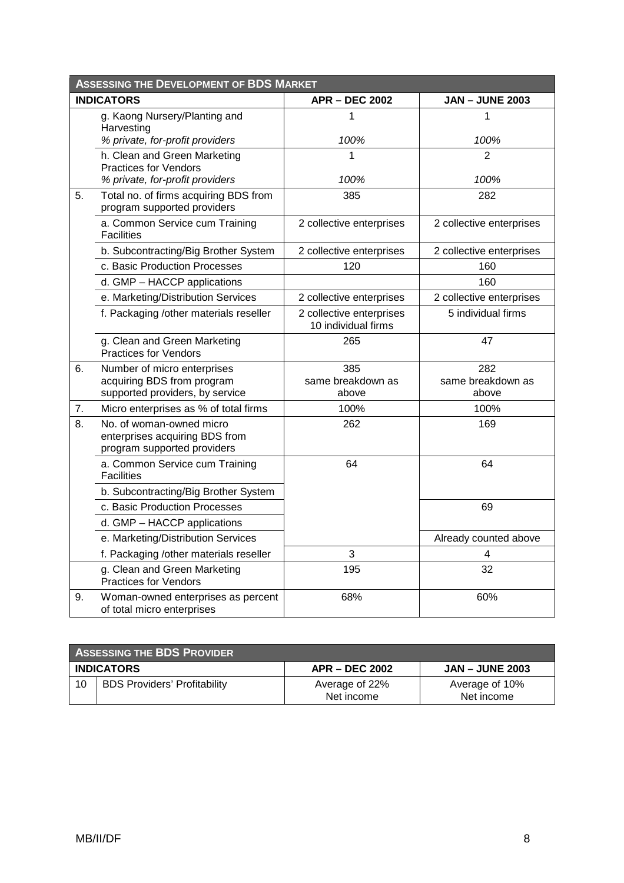| <b>ASSESSING THE DEVELOPMENT OF BDS MARKET</b> |                                                                                           |                                                 |                          |
|------------------------------------------------|-------------------------------------------------------------------------------------------|-------------------------------------------------|--------------------------|
|                                                | <b>INDICATORS</b>                                                                         | <b>APR - DEC 2002</b>                           | <b>JAN - JUNE 2003</b>   |
|                                                | g. Kaong Nursery/Planting and<br>Harvesting                                               | 1                                               | 1                        |
|                                                | % private, for-profit providers                                                           | 100%                                            | 100%                     |
|                                                | h. Clean and Green Marketing<br><b>Practices for Vendors</b>                              | 1                                               | 2                        |
|                                                | % private, for-profit providers                                                           | 100%                                            | 100%                     |
| 5.                                             | Total no. of firms acquiring BDS from<br>program supported providers                      | 385                                             | 282                      |
|                                                | a. Common Service cum Training<br><b>Facilities</b>                                       | 2 collective enterprises                        | 2 collective enterprises |
|                                                | b. Subcontracting/Big Brother System                                                      | 2 collective enterprises                        | 2 collective enterprises |
|                                                | c. Basic Production Processes                                                             | 120                                             | 160                      |
|                                                | d. GMP - HACCP applications                                                               |                                                 | 160                      |
|                                                | e. Marketing/Distribution Services                                                        | 2 collective enterprises                        | 2 collective enterprises |
|                                                | f. Packaging /other materials reseller                                                    | 2 collective enterprises<br>10 individual firms | 5 individual firms       |
|                                                | g. Clean and Green Marketing<br><b>Practices for Vendors</b>                              | 265                                             | 47                       |
| 6.                                             | Number of micro enterprises<br>acquiring BDS from program                                 | 385<br>same breakdown as                        | 282<br>same breakdown as |
|                                                | supported providers, by service                                                           | above                                           | above                    |
| 7.                                             | Micro enterprises as % of total firms                                                     | 100%                                            | 100%                     |
| 8.                                             | No. of woman-owned micro<br>enterprises acquiring BDS from<br>program supported providers | 262                                             | 169                      |
|                                                | a. Common Service cum Training<br><b>Facilities</b>                                       | 64                                              | 64                       |
|                                                | b. Subcontracting/Big Brother System                                                      |                                                 |                          |
|                                                | c. Basic Production Processes                                                             |                                                 | 69                       |
|                                                | d. GMP - HACCP applications                                                               |                                                 |                          |
|                                                | e. Marketing/Distribution Services                                                        |                                                 | Already counted above    |
|                                                | f. Packaging /other materials reseller                                                    | 3                                               | 4                        |
|                                                | g. Clean and Green Marketing<br><b>Practices for Vendors</b>                              | 195                                             | 32                       |
| 9.                                             | Woman-owned enterprises as percent<br>of total micro enterprises                          | 68%                                             | 60%                      |

| <b>ASSESSING THE BDS PROVIDER</b> |                                     |                              |                              |
|-----------------------------------|-------------------------------------|------------------------------|------------------------------|
|                                   | <b>INDICATORS</b>                   | <b>APR – DEC 2002</b>        | <b>JAN – JUNE 2003</b>       |
| 10                                | <b>BDS Providers' Profitability</b> | Average of 22%<br>Net income | Average of 10%<br>Net income |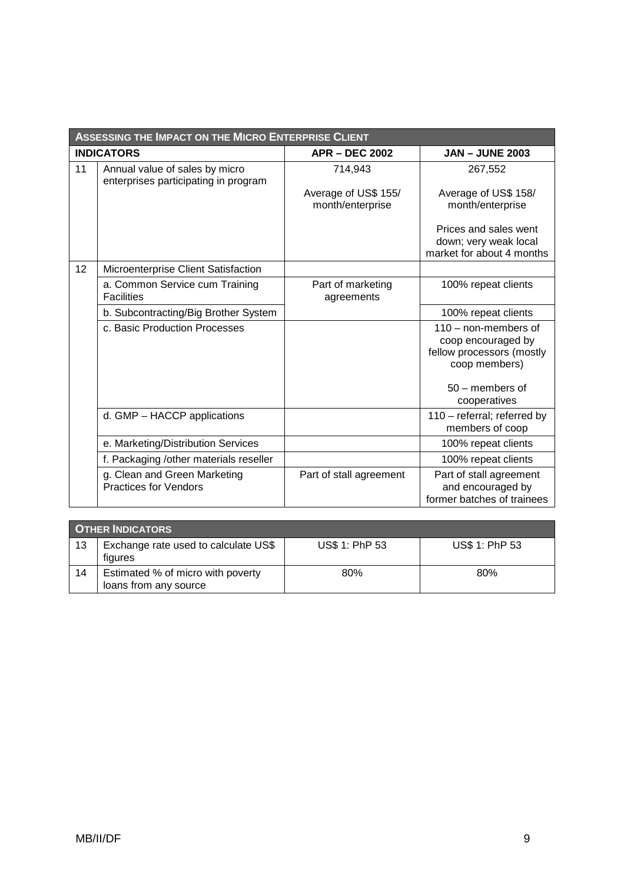| <b>ASSESSING THE IMPACT ON THE MICRO ENTERPRISE CLIENT</b> |                                                                        |                                          |                                                                                            |
|------------------------------------------------------------|------------------------------------------------------------------------|------------------------------------------|--------------------------------------------------------------------------------------------|
|                                                            | <b>INDICATORS</b>                                                      | <b>APR - DEC 2002</b>                    | <b>JAN - JUNE 2003</b>                                                                     |
| 11                                                         | Annual value of sales by micro<br>enterprises participating in program | 714,943                                  | 267,552                                                                                    |
|                                                            |                                                                        | Average of US\$ 155/<br>month/enterprise | Average of US\$ 158/<br>month/enterprise                                                   |
|                                                            |                                                                        |                                          | Prices and sales went<br>down; very weak local<br>market for about 4 months                |
| 12                                                         | Microenterprise Client Satisfaction                                    |                                          |                                                                                            |
|                                                            | a. Common Service cum Training<br><b>Facilities</b>                    | Part of marketing<br>agreements          | 100% repeat clients                                                                        |
|                                                            | b. Subcontracting/Big Brother System                                   |                                          | 100% repeat clients                                                                        |
|                                                            | c. Basic Production Processes                                          |                                          | $110 -$ non-members of<br>coop encouraged by<br>fellow processors (mostly<br>coop members) |
|                                                            |                                                                        |                                          | $50 -$ members of<br>cooperatives                                                          |
|                                                            | d. GMP - HACCP applications                                            |                                          | 110 - referral; referred by<br>members of coop                                             |
|                                                            | e. Marketing/Distribution Services                                     |                                          | 100% repeat clients                                                                        |
|                                                            | f. Packaging /other materials reseller                                 |                                          | 100% repeat clients                                                                        |
|                                                            | g. Clean and Green Marketing<br><b>Practices for Vendors</b>           | Part of stall agreement                  | Part of stall agreement<br>and encouraged by<br>former batches of trainees                 |

| <b>OTHER INDICATORS</b> |                                                            |                |                |
|-------------------------|------------------------------------------------------------|----------------|----------------|
| 13                      | Exchange rate used to calculate US\$<br>figures            | US\$ 1: PhP 53 | US\$ 1: PhP 53 |
| 14                      | Estimated % of micro with poverty<br>loans from any source | 80%            | $80\%$         |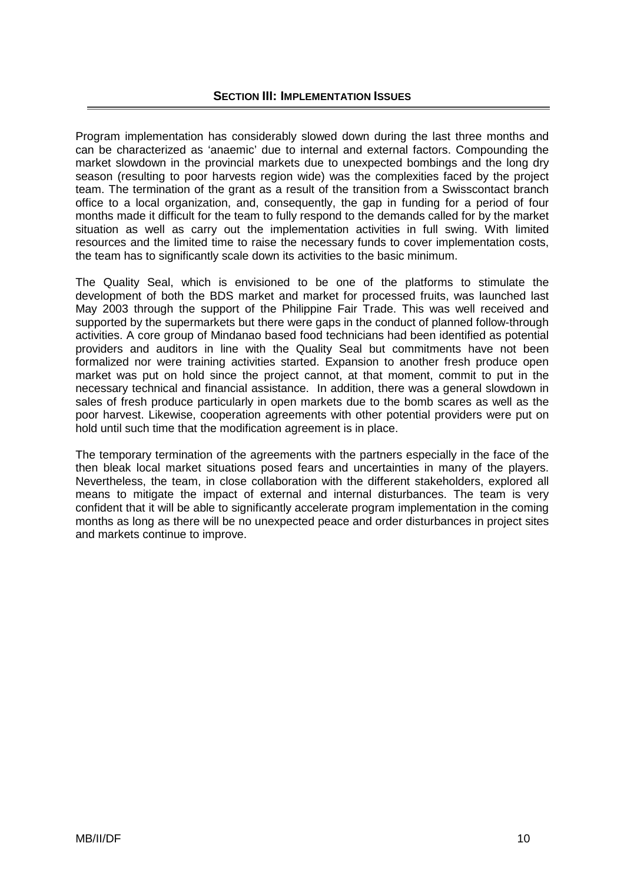Program implementation has considerably slowed down during the last three months and can be characterized as 'anaemic' due to internal and external factors. Compounding the market slowdown in the provincial markets due to unexpected bombings and the long dry season (resulting to poor harvests region wide) was the complexities faced by the project team. The termination of the grant as a result of the transition from a Swisscontact branch office to a local organization, and, consequently, the gap in funding for a period of four months made it difficult for the team to fully respond to the demands called for by the market situation as well as carry out the implementation activities in full swing. With limited resources and the limited time to raise the necessary funds to cover implementation costs, the team has to significantly scale down its activities to the basic minimum.

development of both the BDS market and market for processed fruits, was launched last May 2003 through the support of the Philippine Fair Trade. This was well received and The Quality Seal, which is envisioned to be one of the platforms to stimulate the supported by the supermarkets but there were gaps in the conduct of planned follow-through activities. A core group of Mindanao based food technicians had been identified as potential providers and auditors in line with the Quality Seal but commitments have not been formalized nor were training activities started. Expansion to another fresh produce open market was put on hold since the project cannot, at that moment, commit to put in the necessary technical and financial assistance. In addition, there was a general slowdown in sales of fresh produce particularly in open markets due to the bomb scares as well as the poor harvest. Likewise, cooperation agreements with other potential providers were put on hold until such time that the modification agreement is in place.

then bleak local market situations posed fears and uncertainties in many of the players. Nevertheless, the team, in close collaboration with the different stakeholders, explored all The temporary termination of the agreements with the partners especially in the face of the means to mitigate the impact of external and internal disturbances. The team is very confident that it will be able to significantly accelerate program implementation in the coming months as long as there will be no unexpected peace and order disturbances in project sites and markets continue to improve.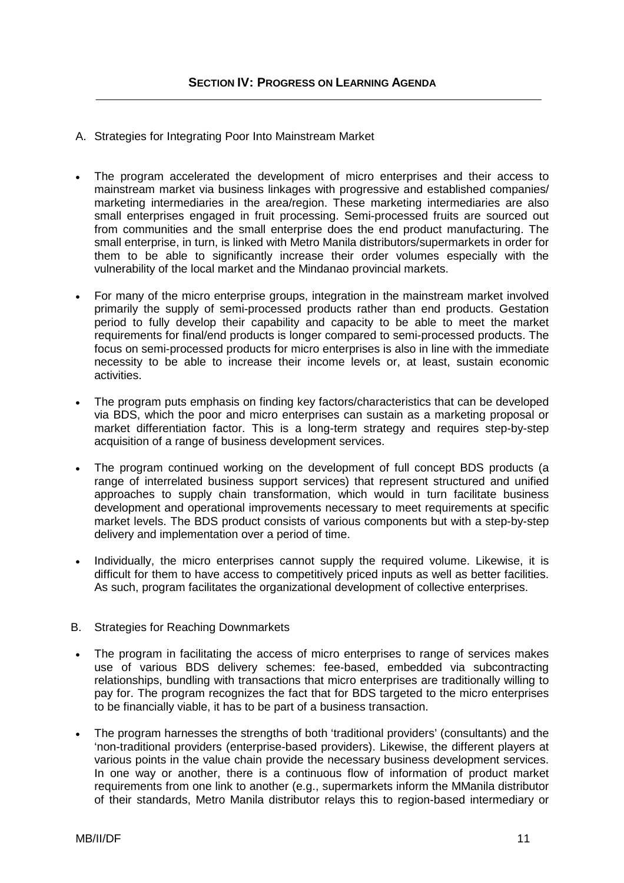- . Strategies for Integrating Poor Into Mainstream Market A
- The program accelerated the development of micro enterprises and their access to mainstream market via business linkages with progressive and established companies/ • marketing intermediaries in the area/region. These marketing intermediaries are also small enterprises engaged in fruit processing. Semi-processed fruits are sourced out from communities and the small enterprise does the end product manufacturing. The small enterprise, in turn, is linked with Metro Manila distributors/supermarkets in order for them to be able to significantly increase their order volumes especially with the vulnerability of the local market and the Mindanao provincial markets.
- For many of the micro enterprise groups, integration in the mainstream market involved primarily the supply of semi-processed products rather than end products. Gestation period to fully develop their capability and capacity to be able to meet the market requirements for final/end products is longer compared to semi-processed products. The focus on semi-processed products for micro enterprises is also in line with the immediate necessity to be able to increase their income levels or, at least, sustain economic activities.
- The program puts emphasis on finding key factors/characteristics that can be developed via BDS, which the poor and micro enterprises can sustain as a marketing proposal or market differentiation factor. This is a long-term strategy and requires step-by-step acquisition of a range of business development services.
- The program continued working on the development of full concept BDS products (a range of interrelated business support services) that represent structured and unified approaches to supply chain transformation, which would in turn facilitate business development and operational improvements necessary to meet requirements at specific market levels. The BDS product consists of various components but with a step-by-step delivery and implementation over a period of time.
- difficult for them to have access to competitively priced inputs as well as better facilities. Individually, the micro enterprises cannot supply the required volume. Likewise, it is As such, program facilitates the organizational development of collective enterprises.
- B . Strategies for Reaching Downmarkets
- The program in facilitating the access of micro enterprises to range of services makes use of various BDS delivery schemes: fee-based, embedded via subcontracting relationships, bundling with transactions that micro enterprises are traditionally willing to pay for. The program recognizes the fact that for BDS targeted to the micro enterprises to be financially viable, it has to be part of a business transaction.
- 'non-traditional providers (enterprise-based providers). Likewise, the different players at The program harnesses the strengths of both 'traditional providers' (consultants) and the various points in the value chain provide the necessary business development services. In one way or another, there is a continuous flow of information of product market requirements from one link to another (e.g., supermarkets inform the MManila distributor of their standards, Metro Manila distributor relays this to region-based intermediary or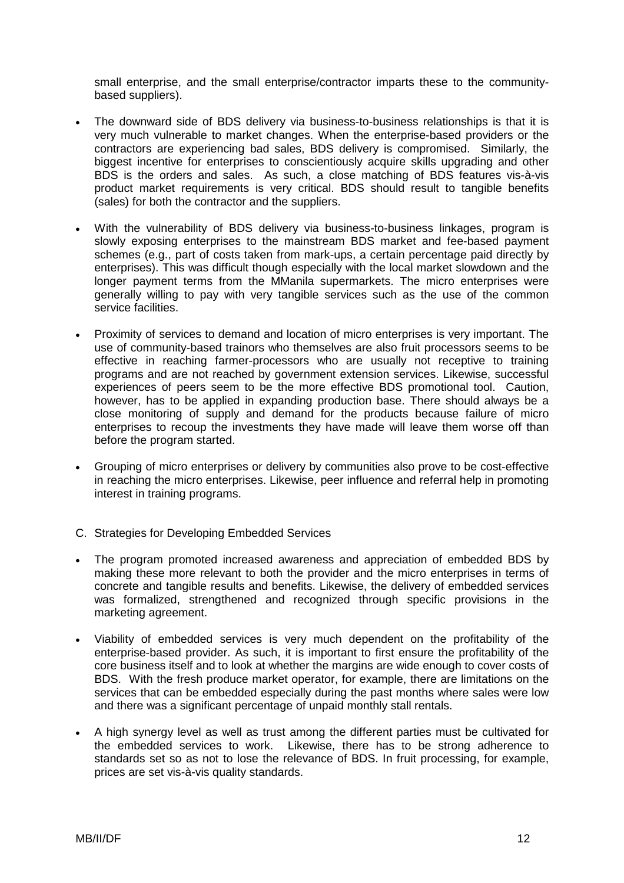small enterprise, and the small enterprise/contractor imparts these to the communitybased suppliers).

- The downward side of BDS delivery via business-to-business relationships is that it is very much vulnerable to market changes. When the enterprise-based providers or the • contractors are experiencing bad sales, BDS delivery is compromised. Similarly, the biggest incentive for enterprises to conscientiously acquire skills upgrading and other BDS is the orders and sales. As such, a close matching of BDS features vis-à-vis product market requirements is very critical. BDS should result to tangible benefits (sales) for both the contractor and the suppliers.
- slowly exposing enterprises to the mainstream BDS market and fee-based payment schemes (e.g., part of costs taken from mark-ups, a certain percentage paid directly by With the vulnerability of BDS delivery via business-to-business linkages, program is enterprises). This was difficult though especially with the local market slowdown and the longer payment terms from the MManila supermarkets. The micro enterprises were generally willing to pay with very tangible services such as the use of the common service facilities.
- use of community-based trainors who themselves are also fruit processors seems to be effective in reaching farmer-processors who are usually not receptive to training Proximity of services to demand and location of micro enterprises is very important. The programs and are not reached by government extension services. Likewise, successful experiences of peers seem to be the more effective BDS promotional tool. Caution, however, has to be applied in expanding production base. There should always be a close monitoring of supply and demand for the products because failure of micro enterprises to recoup the investments they have made will leave them worse off than before the program started.
- in reaching the micro enterprises. Likewise, peer influence and referral help in promoting interest in training programs. Grouping of micro enterprises or delivery by communities also prove to be cost-effective
- C. Strategies for Developing Embedded Services
- The program promoted increased awareness and appreciation of embedded BDS by making these more relevant to both the provider and the micro enterprises in terms of concrete and tangible results and benefits. Likewise, the delivery of embedded services • was formalized, strengthened and recognized through specific provisions in the marketing agreement.
- core business itself and to look at whether the margins are wide enough to cover costs of Viability of embedded services is very much dependent on the profitability of the enterprise-based provider. As such, it is important to first ensure the profitability of the BDS. With the fresh produce market operator, for example, there are limitations on the services that can be embedded especially during the past months where sales were low and there was a significant percentage of unpaid monthly stall rentals.
- A high synergy level as well as trust among the different parties must be cultivated for standards set so as not to lose the relevance of BDS. In fruit processing, for example, the embedded services to work. Likewise, there has to be strong adherence to prices are set vis-à-vis quality standards.